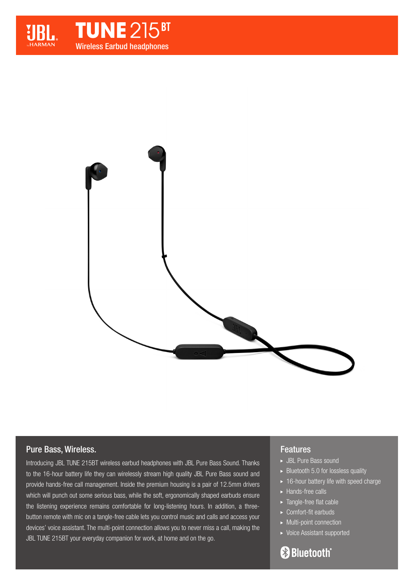





# Pure Bass, Wireless.

Introducing JBL TUNE 215BT wireless earbud headphones with JBL Pure Bass Sound. Thanks to the 16-hour battery life they can wirelessly stream high quality JBL Pure Bass sound and provide hands-free call management. Inside the premium housing is a pair of 12.5mm drivers which will punch out some serious bass, while the soft, ergonomically shaped earbuds ensure the listening experience remains comfortable for long-listening hours. In addition, a threebutton remote with mic on a tangle-free cable lets you control music and calls and access your devices' voice assistant. The multi-point connection allows you to never miss a call, making the JBL TUNE 215BT your everyday companion for work, at home and on the go.

## Features

- JBL Pure Bass sound
- $\blacktriangleright$  Bluetooth 5.0 for lossless quality
- $\rightarrow$  16-hour battery life with speed charge
- ► Hands-free calls
- ▶ Tangle-free flat cable
- ► Comfort-fit earbuds
- Multi-point connection
- Voice Assistant supported

# **Bluetooth**®